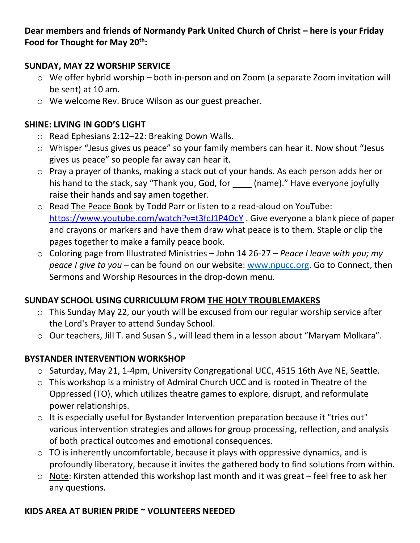**Dear members and friends of Normandy Park United Church of Christ – here is your Friday Food for Thought for May 20th:**

### **SUNDAY, MAY 22 WORSHIP SERVICE**

- o We offer hybrid worship both in-person and on Zoom (a separate Zoom invitation will be sent) at 10 am.
- o We welcome Rev. Bruce Wilson as our guest preacher.

### **SHINE: LIVING IN GOD'S LIGHT**

- o Read Ephesians 2:12–22: Breaking Down Walls.
- o Whisper "Jesus gives us peace" so your family members can hear it. Now shout "Jesus gives us peace" so people far away can hear it.
- o Pray a prayer of thanks, making a stack out of your hands. As each person adds her or his hand to the stack, say "Thank you, God, for \_\_\_\_ (name)." Have everyone joyfully raise their hands and say amen together.
- o Read The Peace Book by Todd Parr or listen to a read-aloud on YouTube: <https://www.youtube.com/watch?v=t3fcJ1P4OcY> . Give everyone a blank piece of paper and crayons or markers and have them draw what peace is to them. Staple or clip the pages together to make a family peace book.
- o Coloring page from Illustrated Ministries John 14 26-27 *Peace I leave with you; my peace I give to you* – can be found on our website: [www.npucc.org.](http://www.npucc.org/) Go to Connect, then Sermons and Worship Resources in the drop-down menu*.*

# **SUNDAY SCHOOL USING CURRICULUM FROM THE HOLY TROUBLEMAKERS**

- o This Sunday May 22, our youth will be excused from our regular worship service after the Lord's Prayer to attend Sunday School.
- o Our teachers, Jill T. and Susan S., will lead them in a lesson about "Maryam Molkara".

# **BYSTANDER INTERVENTION WORKSHOP**

- o Saturday, May 21, 1-4pm, University Congregational UCC, 4515 16th Ave NE, Seattle.
- o This workshop is a ministry of Admiral Church UCC and is rooted in Theatre of the Oppressed (TO), which utilizes theatre games to explore, disrupt, and reformulate power relationships.
- o It is especially useful for Bystander Intervention preparation because it "tries out" various intervention strategies and allows for group processing, reflection, and analysis of both practical outcomes and emotional consequences.
- $\circ$  TO is inherently uncomfortable, because it plays with oppressive dynamics, and is profoundly liberatory, because it invites the gathered body to find solutions from within.
- o Note: Kirsten attended this workshop last month and it was great feel free to ask her any questions.

### **KIDS AREA AT BURIEN PRIDE ~ VOLUNTEERS NEEDED**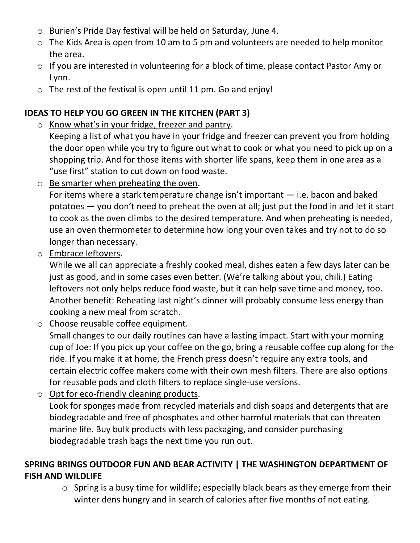- o Burien's Pride Day festival will be held on Saturday, June 4.
- o The Kids Area is open from 10 am to 5 pm and volunteers are needed to help monitor the area.
- o If you are interested in volunteering for a block of time, please contact Pastor Amy or Lynn.
- $\circ$  The rest of the festival is open until 11 pm. Go and enjoy!

# **IDEAS TO HELP YOU GO GREEN IN THE KITCHEN (PART 3)**

o Know what's in your fridge, freezer and pantry.

Keeping a list of what you have in your fridge and freezer can prevent you from holding the door open while you try to figure out what to cook or what you need to pick up on a shopping trip. And for those items with shorter life spans, keep them in one area as a "use first" station to cut down on food waste.

o Be smarter when preheating the oven.

For items where a stark temperature change isn't important — i.e. bacon and baked potatoes — you don't need to preheat the oven at all; just put the food in and let it start to cook as the oven climbs to the desired temperature. And when preheating is needed, use an oven thermometer to determine how long your oven takes and try not to do so longer than necessary.

o Embrace leftovers.

While we all can appreciate a freshly cooked meal, dishes eaten a few days later can be just as good, and in some cases even better. (We're talking about you, chili.) Eating leftovers not only helps reduce food waste, but it can help save time and money, too. Another benefit: Reheating last night's dinner will probably consume less energy than cooking a new meal from scratch.

o Choose reusable coffee equipment.

Small changes to our daily routines can have a lasting impact. Start with your morning cup of Joe: If you pick up your coffee on the go, bring a reusable coffee cup along for the ride. If you make it at home, the French press doesn't require any extra tools, and certain electric coffee makers come with their own mesh filters. There are also options for reusable pods and cloth filters to replace single-use versions.

o Opt for eco-friendly cleaning products.

Look for sponges made from recycled materials and dish soaps and detergents that are biodegradable and free of phosphates and other harmful materials that can threaten marine life. Buy bulk products with less packaging, and consider purchasing biodegradable trash bags the next time you run out.

# **SPRING BRINGS OUTDOOR FUN AND BEAR ACTIVITY | THE WASHINGTON DEPARTMENT OF FISH AND WILDLIFE**

o Spring is a busy time for wildlife; especially black bears as they emerge from their winter dens hungry and in search of calories after five months of not eating.